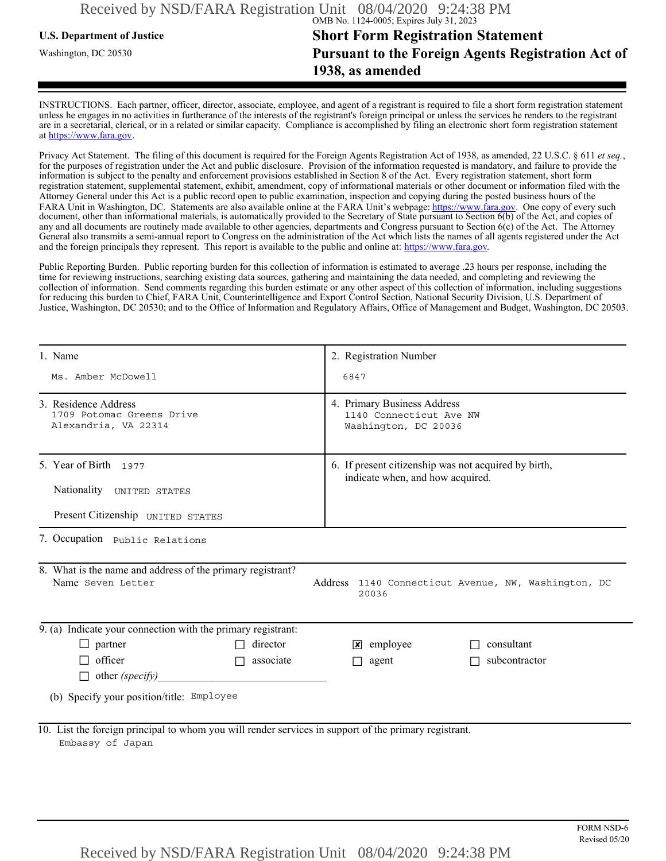## **U.S. Department of Justice Short Form Registration Statement** Washington, DC 20530 **Pursuant to the Foreign Agents Registration Act of 1938, as amended**

INSTRUCTIONS. Each partner, officer, director, associate, employee, and agent of a registrant is required to file a short form registration statement unless he engages in no activities in furtherance of the interests of the registrant's foreign principal or unless the services he renders to the registrant are in a secretarial, clerical, or in a related or similar capacity. Compliance is accomplished by filing an electronic short form registration statement at https://www.fara.gov.

Privacy Act Statement. The filing of this document is required for the Foreign Agents Registration Act of 1938, as amended, 22 U.S.C. § 611 *et seq.*, for the purposes of registration under the Act and public disclosure. Provision of the information requested is mandatory, and failure to provide the information is subject to the penalty and enforcement provisions established in Section 8 of the Act. Every registration statement, short form registration statement, supplemental statement, exhibit, amendment, copy of informational materials or other document or information filed with the Attorney General under this Act is a public record open to public examination, inspection and copying during the posted business hours of the FARA Unit in Washington, DC. Statements are also available online at the FARA Unit's webpage: https://www.fara.gov. One copy of every such document, other than informational materials, is automatically provided to the Secretary of State pursuant to Section 6(b) of the Act, and copies of any and all documents are routinely made available to other agencies, departments and Congress pursuant to Section 6(c) of the Act. The Attorney General also transmits a semi-annual report to Congress on the administration of the Act which lists the names of all agents registered under the Act and the foreign principals they represent. This report is available to the public and online at: https://www.fara.gov.

Public Reporting Burden. Public reporting burden for this collection of information is estimated to average .23 hours per response, including the time for reviewing instructions, searching existing data sources, gathering and maintaining the data needed, and completing and reviewing the collection of information. Send comments regarding this burden estimate or any other aspect of this collection of information, including suggestions for reducing this burden to Chief, FARA Unit, Counterintelligence and Export Control Section, National Security Division, U.S. Department of Justice, Washington, DC 20530; and to the Office of Information and Regulatory Affairs, Office of Management and Budget, Washington, DC 20503.

| 1. Name                                                                                                                   | 2. Registration Number                                                                   |  |
|---------------------------------------------------------------------------------------------------------------------------|------------------------------------------------------------------------------------------|--|
| Ms. Amber McDowell                                                                                                        | 6847                                                                                     |  |
| 3. Residence Address<br>1709 Potomac Greens Drive<br>Alexandria, VA 22314                                                 | 4. Primary Business Address<br>1140 Connecticut Ave NW<br>Washington, DC 20036           |  |
| 5. Year of Birth 1977<br>Nationality UNITED STATES                                                                        | 6. If present citizenship was not acquired by birth,<br>indicate when, and how acquired. |  |
| Present Citizenship UNITED STATES                                                                                         |                                                                                          |  |
| 7. Occupation Public Relations                                                                                            |                                                                                          |  |
| 8. What is the name and address of the primary registrant?<br>Name Seven Letter                                           | Address 1140 Connecticut Avenue, NW, Washington, DC<br>20036                             |  |
| 9. (a) Indicate your connection with the primary registrant:                                                              |                                                                                          |  |
| $\Box$ partner<br>director                                                                                                | $\mathbf{\times}$ employee<br>consultant                                                 |  |
| $\Box$ officer<br>$\Box$ associate                                                                                        | $\Box$ agent<br>subcontractor                                                            |  |
| $\Box$ other (specify)                                                                                                    |                                                                                          |  |
| (b) Specify your position/title: Employee                                                                                 |                                                                                          |  |
| 10. List the foreign principal to whom you will render services in support of the primary registrant.<br>Embassy of Japan |                                                                                          |  |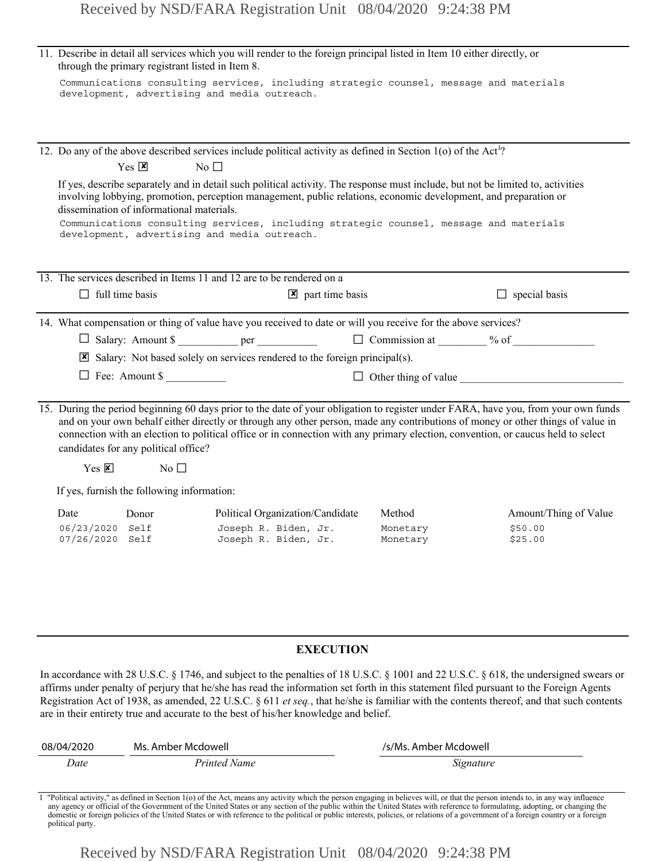|                                    | through the primary registrant listed in Item 8. | 11. Describe in detail all services which you will render to the foreign principal listed in Item 10 either directly, or                                                                                                                                                                                                                                                                                  |                       |                                                                                                                                                                                                                                                                                  |
|------------------------------------|--------------------------------------------------|-----------------------------------------------------------------------------------------------------------------------------------------------------------------------------------------------------------------------------------------------------------------------------------------------------------------------------------------------------------------------------------------------------------|-----------------------|----------------------------------------------------------------------------------------------------------------------------------------------------------------------------------------------------------------------------------------------------------------------------------|
|                                    |                                                  | Communications consulting services, including strategic counsel, message and materials<br>development, advertising and media outreach.                                                                                                                                                                                                                                                                    |                       |                                                                                                                                                                                                                                                                                  |
|                                    |                                                  | 12. Do any of the above described services include political activity as defined in Section 1(o) of the Act <sup>1</sup> ?                                                                                                                                                                                                                                                                                |                       |                                                                                                                                                                                                                                                                                  |
|                                    | $Yes \nvert \mathbf{X}$                          | No $\square$                                                                                                                                                                                                                                                                                                                                                                                              |                       |                                                                                                                                                                                                                                                                                  |
|                                    | dissemination of informational materials.        | If yes, describe separately and in detail such political activity. The response must include, but not be limited to, activities<br>involving lobbying, promotion, perception management, public relations, economic development, and preparation or<br>Communications consulting services, including strategic counsel, message and materials<br>development, advertising and media outreach.             |                       |                                                                                                                                                                                                                                                                                  |
|                                    |                                                  |                                                                                                                                                                                                                                                                                                                                                                                                           |                       |                                                                                                                                                                                                                                                                                  |
|                                    |                                                  | 13. The services described in Items 11 and 12 are to be rendered on a                                                                                                                                                                                                                                                                                                                                     |                       |                                                                                                                                                                                                                                                                                  |
| $\Box$ full time basis             |                                                  | $\triangleright$ part time basis                                                                                                                                                                                                                                                                                                                                                                          |                       | $\Box$ special basis                                                                                                                                                                                                                                                             |
|                                    |                                                  | 14. What compensation or thing of value have you received to date or will you receive for the above services?                                                                                                                                                                                                                                                                                             |                       |                                                                                                                                                                                                                                                                                  |
|                                    |                                                  |                                                                                                                                                                                                                                                                                                                                                                                                           |                       |                                                                                                                                                                                                                                                                                  |
|                                    |                                                  | Salary: Not based solely on services rendered to the foreign principal(s).                                                                                                                                                                                                                                                                                                                                |                       |                                                                                                                                                                                                                                                                                  |
|                                    | $\Box$ Fee: Amount \$                            |                                                                                                                                                                                                                                                                                                                                                                                                           |                       | $\Box$ Other thing of value                                                                                                                                                                                                                                                      |
|                                    | candidates for any political office?             | 15. During the period beginning 60 days prior to the date of your obligation to register under FARA, have you, from your own funds<br>and on your own behalf either directly or through any other person, made any contributions of money or other things of value in<br>connection with an election to political office or in connection with any primary election, convention, or caucus held to select |                       |                                                                                                                                                                                                                                                                                  |
| $Yes \n  \triangleright$           | $\overline{N_0}$                                 |                                                                                                                                                                                                                                                                                                                                                                                                           |                       |                                                                                                                                                                                                                                                                                  |
|                                    | If yes, furnish the following information:       |                                                                                                                                                                                                                                                                                                                                                                                                           |                       |                                                                                                                                                                                                                                                                                  |
| Date                               | Donor                                            | Political Organization/Candidate                                                                                                                                                                                                                                                                                                                                                                          | Method                | Amount/Thing of Value                                                                                                                                                                                                                                                            |
| 06/23/2020 Self<br>07/26/2020 Self |                                                  | Joseph R. Biden, Jr.<br>Joseph R. Biden, Jr.                                                                                                                                                                                                                                                                                                                                                              | Monetary<br>Monetary  | \$50.00<br>\$25.00                                                                                                                                                                                                                                                               |
|                                    |                                                  |                                                                                                                                                                                                                                                                                                                                                                                                           |                       |                                                                                                                                                                                                                                                                                  |
|                                    |                                                  | <b>EXECUTION</b>                                                                                                                                                                                                                                                                                                                                                                                          |                       |                                                                                                                                                                                                                                                                                  |
|                                    |                                                  | affirms under penalty of perjury that he/she has read the information set forth in this statement filed pursuant to the Foreign Agents<br>are in their entirety true and accurate to the best of his/her knowledge and belief.                                                                                                                                                                            |                       | In accordance with 28 U.S.C. § 1746, and subject to the penalties of 18 U.S.C. § 1001 and 22 U.S.C. § 618, the undersigned swears or<br>Registration Act of 1938, as amended, 22 U.S.C. § 611 et seq., that he/she is familiar with the contents thereof, and that such contents |
| 08/04/2020                         | Ms. Amber Mcdowell                               |                                                                                                                                                                                                                                                                                                                                                                                                           | /s/Ms. Amber Mcdowell |                                                                                                                                                                                                                                                                                  |

## **EXECUTION**

| 08/04/2020 | Ms. Amber Mcdowell | /s/Ms. Amber Mcdowell |
|------------|--------------------|-----------------------|
| Date       | Printed Name       | Signature             |

Political activity," as defined in Section 1(o) of the Act, means any activity which the person engaging in believes will, or that the person intends to, in any way influence any agency or official of the Government of the domestic or foreign policies of the United States or with reference to the political or public interests, policies, or relations of a government of a foreign country or a foreign political party.

Received by NSD/FARA Registration Unit 08/04/2020 9:24:38 PM